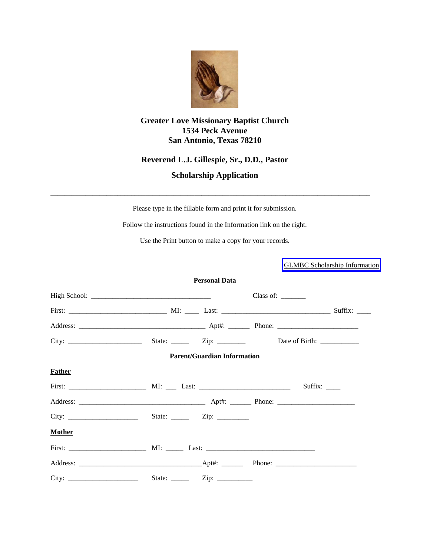

# **Greater Love Missionary Baptist Church 1534 Peck Avenue San Antonio, Texas 78210**

# **Reverend L.J. Gillespie, Sr., D.D., Pastor**

# **Scholarship Application**

Please type in the fillable form and print it for submission.

\_\_\_\_\_\_\_\_\_\_\_\_\_\_\_\_\_\_\_\_\_\_\_\_\_\_\_\_\_\_\_\_\_\_\_\_\_\_\_\_\_\_\_\_\_\_\_\_\_\_\_\_\_\_\_\_\_\_\_\_\_\_\_\_\_\_\_\_\_\_\_\_\_\_\_\_\_\_\_\_\_\_\_\_\_\_\_\_\_\_\_

Follow the instructions found in the Information link on the right.

Use the Print button to make a copy for your records.

[GLMBC Scholarship Information](www.thegreaterloveexperience.org)

|               |                      | <b>Personal Data</b>               |                                                        |                |
|---------------|----------------------|------------------------------------|--------------------------------------------------------|----------------|
|               |                      |                                    | Class of: $\_\_\_\_\_\_\_\_\_\_\_\_\_\_\_\_\_\_\_\_\_$ |                |
|               |                      |                                    |                                                        |                |
|               |                      |                                    |                                                        |                |
|               |                      |                                    |                                                        |                |
|               |                      | <b>Parent/Guardian Information</b> |                                                        |                |
| <b>Father</b> |                      |                                    |                                                        |                |
|               |                      |                                    |                                                        | Suffix: $\_\_$ |
|               |                      |                                    |                                                        |                |
|               |                      |                                    |                                                        |                |
| <b>Mother</b> |                      |                                    |                                                        |                |
|               |                      |                                    |                                                        |                |
|               |                      |                                    |                                                        |                |
|               | State: $\frac{ }{ }$ |                                    |                                                        |                |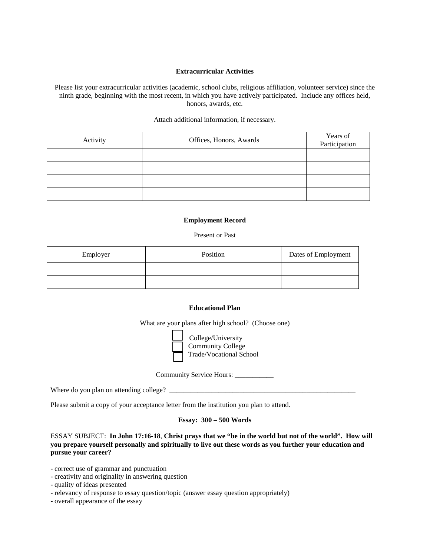#### **Extracurricular Activities**

Please list your extracurricular activities (academic, school clubs, religious affiliation, volunteer service) since the ninth grade, beginning with the most recent, in which you have actively participated. Include any offices held, honors, awards, etc.

#### Attach additional information, if necessary.

| Activity | Offices, Honors, Awards | Years of<br>Participation |
|----------|-------------------------|---------------------------|
|          |                         |                           |
|          |                         |                           |
|          |                         |                           |
|          |                         |                           |

### **Employment Record**

#### Present or Past

| Employer | Position | Dates of Employment |
|----------|----------|---------------------|
|          |          |                     |
|          |          |                     |

### **Educational Plan**

What are your plans after high school? (Choose one)



 College/University Community College Trade/Vocational School

Community Service Hours: \_\_\_\_\_\_\_\_\_\_\_

| Where do you plan on attending college? |  |
|-----------------------------------------|--|
|                                         |  |

Please submit a copy of your acceptance letter from the institution you plan to attend.

## **Essay: 300 – 500 Words**

### ESSAY SUBJECT: **In John 17:16-18**, **Christ prays that we "be in the world but not of the world". How will you prepare yourself personally and spiritually to live out these words as you further your education and pursue your career?**

- correct use of grammar and punctuation

- creativity and originality in answering question
- quality of ideas presented
- relevancy of response to essay question/topic (answer essay question appropriately)
- overall appearance of the essay